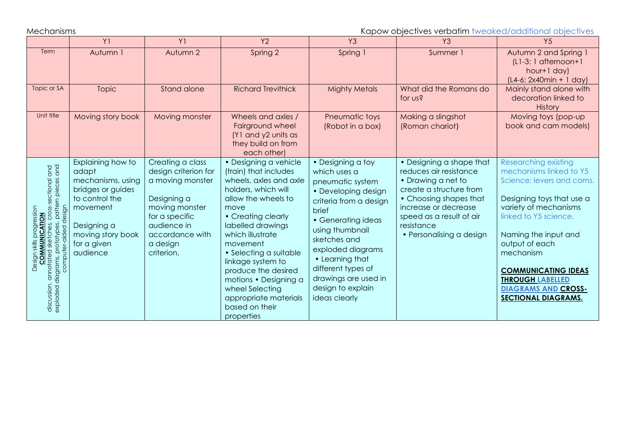Mechanisms Mechanisms Mechanisms According to the Capow objectives verbatim tweaked/additional objectives

|                                                                                                                                                                                  | Y <sub>1</sub>                                                                                                                                                    | Y <sub>1</sub>                                                                                                                                                              | Y2                                                                                                                                                                                                                                                                                                                                                                                   | Y <sub>3</sub>                                                                                                                                                                                                                                                                                       | Y <sub>3</sub>                                                                                                                                                                                                              | Y <sub>5</sub>                                                                                                                                                                                                                                                                                                                                 |
|----------------------------------------------------------------------------------------------------------------------------------------------------------------------------------|-------------------------------------------------------------------------------------------------------------------------------------------------------------------|-----------------------------------------------------------------------------------------------------------------------------------------------------------------------------|--------------------------------------------------------------------------------------------------------------------------------------------------------------------------------------------------------------------------------------------------------------------------------------------------------------------------------------------------------------------------------------|------------------------------------------------------------------------------------------------------------------------------------------------------------------------------------------------------------------------------------------------------------------------------------------------------|-----------------------------------------------------------------------------------------------------------------------------------------------------------------------------------------------------------------------------|------------------------------------------------------------------------------------------------------------------------------------------------------------------------------------------------------------------------------------------------------------------------------------------------------------------------------------------------|
| Term                                                                                                                                                                             | Autumn 1                                                                                                                                                          | Autumn 2                                                                                                                                                                    | Spring 2                                                                                                                                                                                                                                                                                                                                                                             | Spring 1                                                                                                                                                                                                                                                                                             | Summer 1                                                                                                                                                                                                                    | Autumn 2 and Spring 1<br>$(L1-3: 1$ afternoon+1<br>hour+1 day)<br>$(L4-6: 2x40min + 1 day)$                                                                                                                                                                                                                                                    |
| Topic or SA                                                                                                                                                                      | Topic                                                                                                                                                             | Stand alone                                                                                                                                                                 | <b>Richard Trevithick</b>                                                                                                                                                                                                                                                                                                                                                            | <b>Mighty Metals</b>                                                                                                                                                                                                                                                                                 | What did the Romans do<br>for us?                                                                                                                                                                                           | Mainly stand alone with<br>decoration linked to<br>History                                                                                                                                                                                                                                                                                     |
| Unit title                                                                                                                                                                       | Moving story book                                                                                                                                                 | Moving monster                                                                                                                                                              | Wheels and axles /<br>Fairground wheel<br>(Y1 and y2 units as<br>they build on from<br>each other)                                                                                                                                                                                                                                                                                   | Pneumatic toys<br>(Robot in a box)                                                                                                                                                                                                                                                                   | Making a slingshot<br>(Roman chariot)                                                                                                                                                                                       | Moving toys (pop-up<br>book and cam models)                                                                                                                                                                                                                                                                                                    |
| discussion, annotated sketches, cross-sectional and<br>exploded diagrams, prototypes, pattern pieces and<br>computer-aided design<br>ogression<br><b>COMMUNICATION</b><br>Design | Explaining how to<br>adapt<br>mechanisms, using<br>bridges or guides<br>to control the<br>movement<br>Designing a<br>moving story book<br>for a given<br>audience | Creating a class<br>design criterion for<br>a moving monster<br>Designing a<br>moving monster<br>for a specific<br>audience in<br>accordance with<br>a design<br>criterion. | • Designing a vehicle<br>(train) that includes<br>wheels, axles and axle<br>holders, which will<br>allow the wheels to<br>move<br>• Creating clearly<br>labelled drawings<br>which illustrate<br>movement<br>• Selecting a suitable<br>linkage system to<br>produce the desired<br>motions • Designing a<br>wheel Selecting<br>appropriate materials<br>based on their<br>properties | • Designing a toy<br>which uses a<br>pneumatic system<br>• Developing design<br>criteria from a design<br>brief<br>• Generating ideas<br>using thumbnail<br>sketches and<br>exploded diagrams<br>• Learning that<br>different types of<br>drawings are used in<br>design to explain<br>ideas clearly | • Designing a shape that<br>reduces air resistance<br>• Drawing a net to<br>create a structure from<br>• Choosing shapes that<br>increase or decrease<br>speed as a result of air<br>resistance<br>• Personalising a design | <b>Researching existing</b><br>mechanisms linked to Y5<br>Science: levers and cams.<br>Designing toys that use a<br>variety of mechanisms<br>linked to Y5 science.<br>Naming the input and<br>output of each<br>mechanism<br><b>COMMUNICATING IDEAS</b><br><b>THROUGH LABELLED</b><br><b>DIAGRAMS AND CROSS-</b><br><b>SECTIONAL DIAGRAMS.</b> |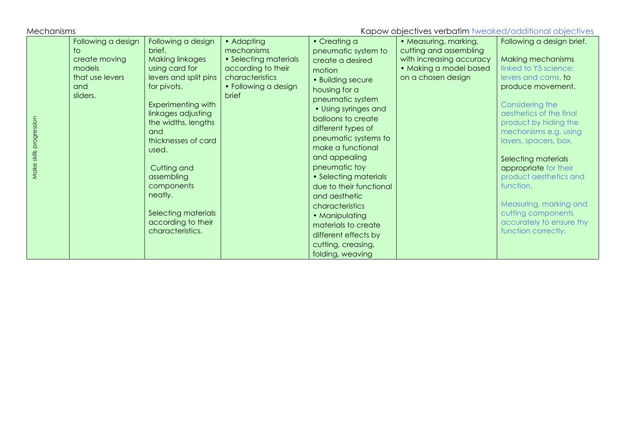Mechanisms Mechanisms and the contraction of the contraction of the Kapow objectives verbatim tweaked/additional objectives • Creating a Following a design Following a design • Adaptina • Measuring, marking, Following a design brief. brief. mechanisms pneumatic system to cutting and assembling to create moving Making linkages • Selecting materials with increasing accuracy Making mechanisms create a desired models using card for according to their • Making a model based linked to Y5 science: motion that use levers levers and split pins on a chosen design characteristics levers and cams, to • Building secure and for pivots. • Following a design produce movement. housing for a sliders. brief pneumatic system Experimenting with Considering the • Using syringes and linkages adjusting aesthetics of the final balloons to create Make skills progression Make skills progression the widths, lengths product by hiding the different types of and mechanisms e.g. using pneumatic systems to thicknesses of card layers, spacers, box. make a functional used. and appealing Selecting materials Cutting and pneumatic toy appropriate for their assembling • Selecting materials product aesthetics and components due to their functional function. neatly. and aesthetic Measuring, marking and characteristics Selecting materials cutting components • Manipulating according to their accurately to ensure thy materials to create characteristics. function correctly.different effects by cutting, creasing, folding, weaving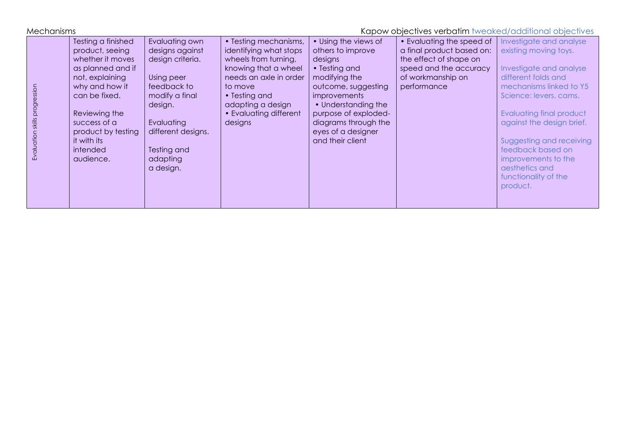Mechanisms **Mechanisms** Mechanisms **Kapow objectives verbatim** tweaked/additional objectives

| Evaluation skills progression | Testing a finished<br>product, seeing<br>whether it moves<br>as planned and if<br>not, explaining<br>why and how it<br>can be fixed.<br>Reviewing the<br>success of a<br>product by testing<br>it with its<br>intended<br>audience. | Evaluating own<br>designs against<br>design criteria.<br>Using peer<br>feedback to<br>modify a final<br>design.<br>Evaluating<br>different designs.<br>Testing and<br>adapting<br>a design. | • Testing mechanisms,<br>identifying what stops<br>wheels from turning,<br>knowing that a wheel<br>needs an axle in order<br>to move<br>• Testing and<br>adapting a design<br>• Evaluating different<br>designs | • Using the views of<br>others to improve<br>designs<br>• Testing and<br>modifying the<br>outcome, suggesting<br>improvements<br>• Understanding the<br>purpose of exploded-<br>diagrams through the<br>eyes of a designer<br>and their client | • Evaluating the speed of<br>a final product based on:<br>the effect of shape on<br>speed and the accuracy<br>of workmanship on<br>performance | Investigate and analyse<br>existing moving toys.<br>Investigate and analyse<br>different folds and<br>mechanisms linked to Y5<br>Science: levers, cams.<br>Evaluating final product<br>against the design brief.<br>Suggesting and receiving<br>feedback based on<br>improvements to the<br>aesthetics and<br>functionality of the<br>product. |
|-------------------------------|-------------------------------------------------------------------------------------------------------------------------------------------------------------------------------------------------------------------------------------|---------------------------------------------------------------------------------------------------------------------------------------------------------------------------------------------|-----------------------------------------------------------------------------------------------------------------------------------------------------------------------------------------------------------------|------------------------------------------------------------------------------------------------------------------------------------------------------------------------------------------------------------------------------------------------|------------------------------------------------------------------------------------------------------------------------------------------------|------------------------------------------------------------------------------------------------------------------------------------------------------------------------------------------------------------------------------------------------------------------------------------------------------------------------------------------------|
|-------------------------------|-------------------------------------------------------------------------------------------------------------------------------------------------------------------------------------------------------------------------------------|---------------------------------------------------------------------------------------------------------------------------------------------------------------------------------------------|-----------------------------------------------------------------------------------------------------------------------------------------------------------------------------------------------------------------|------------------------------------------------------------------------------------------------------------------------------------------------------------------------------------------------------------------------------------------------|------------------------------------------------------------------------------------------------------------------------------------------------|------------------------------------------------------------------------------------------------------------------------------------------------------------------------------------------------------------------------------------------------------------------------------------------------------------------------------------------------|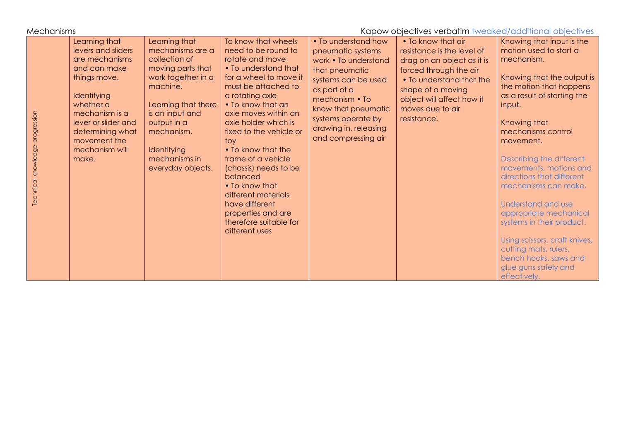Mechanisms Mechanisms and the contraction of the contraction of the Kapow objectives verbatim tweaked/additional objectives

| Technical knowledge progression | Learning that<br>levers and sliders<br>are mechanisms<br>and can make<br>things move.<br>Identifying<br>whether a<br>mechanism is a<br>lever or slider and<br>determining what<br>movement the<br>mechanism will<br>make. | Learning that<br>mechanisms are a<br>collection of<br>moving parts that<br>work together in a<br>machine.<br>Learning that there<br>is an input and<br>output in a<br>mechanism.<br>Identifying<br>mechanisms in<br>everyday objects. | To know that wheels<br>need to be round to<br>rotate and move<br>• To understand that<br>for a wheel to move it<br>must be attached to<br>a rotating axle<br>• To know that an<br>axle moves within an<br>axle holder which is<br>fixed to the vehicle or<br>toy<br>• To know that the<br>frame of a vehicle<br>(chassis) needs to be<br>balanced<br>• To know that<br>different materials<br>have different<br>properties and are<br>therefore suitable for<br>different uses | • To understand how<br>pneumatic systems<br>work • To understand<br>that pneumatic<br>systems can be used<br>as part of a<br>mechanism • To<br>know that pneumatic<br>systems operate by<br>drawing in, releasing<br>and compressing air | • To know that air<br>resistance is the level of<br>drag on an object as it is<br>forced through the air<br>• To understand that the<br>shape of a moving<br>object will affect how it<br>moves due to air<br>resistance. | Knowing that input is the<br>motion used to start a<br>mechanism.<br>Knowing that the output is<br>the motion that happens<br>as a result of starting the<br>input.<br>Knowing that<br>mechanisms control<br>movement.<br>Describing the different<br>movements, motions and<br>directions that different<br>mechanisms can make.<br>Understand and use<br>appropriate mechanical<br>systems in their product.<br>Using scissors, craft knives,<br>cutting mats, rulers,<br>bench hooks, saws and<br>glue guns safely and<br>effectively. |
|---------------------------------|---------------------------------------------------------------------------------------------------------------------------------------------------------------------------------------------------------------------------|---------------------------------------------------------------------------------------------------------------------------------------------------------------------------------------------------------------------------------------|--------------------------------------------------------------------------------------------------------------------------------------------------------------------------------------------------------------------------------------------------------------------------------------------------------------------------------------------------------------------------------------------------------------------------------------------------------------------------------|------------------------------------------------------------------------------------------------------------------------------------------------------------------------------------------------------------------------------------------|---------------------------------------------------------------------------------------------------------------------------------------------------------------------------------------------------------------------------|-------------------------------------------------------------------------------------------------------------------------------------------------------------------------------------------------------------------------------------------------------------------------------------------------------------------------------------------------------------------------------------------------------------------------------------------------------------------------------------------------------------------------------------------|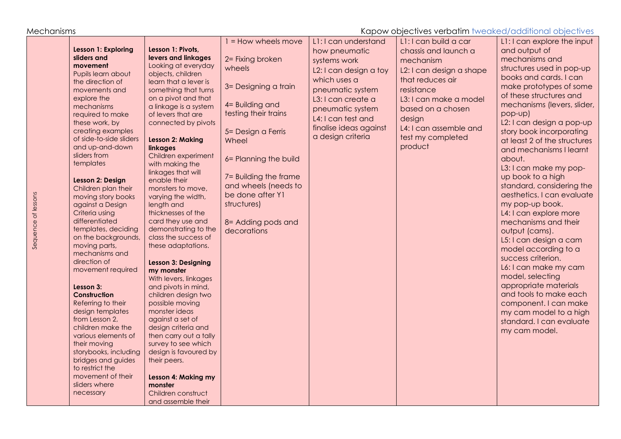Mechanisms Mechanisms and the Contraction of the Contraction of the Kapow objectives verbatim tweaked/additional objectives

| Lesson 1: Exploring<br>sliders and<br>movement<br>Pupils learn about<br>the direction of<br>movements and<br>explore the<br>mechanisms<br>required to make<br>these work, by<br>creating examples<br>of side-to-side sliders<br>and up-and-down<br>sliders from<br>templates<br>Lesson 2: Design<br>Children plan their<br>moving story books<br>against a Design<br>Criteria using<br>differentiated<br>templates, deciding<br>on the backgrounds,<br>moving parts,<br>mechanisms and<br>direction of<br>movement required<br>Lesson 3:<br><b>Construction</b><br>Referring to their<br>design templates<br>from Lesson 2.<br>children make the<br>various elements of<br>their moving<br>storybooks, including<br>bridges and guides<br>to restrict the<br>movement of their<br>sliders where<br>necessary | Lesson 1: Pivots,<br>levers and linkages<br>Looking at everyday<br>objects, children<br>learn that a lever is<br>something that turns<br>on a pivot and that<br>a linkage is a system<br>of levers that are<br>connected by pivots<br><b>Lesson 2: Making</b><br>linkages<br>Children experiment<br>with making the<br>linkages that will<br>enable their<br>monsters to move,<br>varying the width,<br>length and<br>thicknesses of the<br>card they use and<br>demonstrating to the<br>class the success of<br>these adaptations.<br><b>Lesson 3: Designing</b><br>my monster<br>With levers, linkages<br>and pivots in mind,<br>children design two<br>possible moving<br>monster ideas<br>against a set of<br>design criteria and<br>then carry out a tally<br>survey to see which<br>design is favoured by<br>their peers.<br><b>Lesson 4: Making my</b><br>monster<br>Children construct<br>and assemble their | 1 = How wheels move<br>2= Fixing broken<br>wheels<br>3= Designing a train<br>4= Building and<br>testing their trains<br>5= Design a Ferris<br>Wheel<br>6= Planning the build<br>7= Building the frame<br>and wheels (needs to<br>be done after Y1<br>structures)<br>8= Adding pods and<br>decorations | L1: I can understand<br>how pneumatic<br>systems work<br>L2: I can design a toy<br>which uses a<br>pneumatic system<br>L3: I can create a<br>pneumatic system<br>L4: I can test and<br>finalise ideas against<br>a design criteria | L1: I can build a car<br>chassis and launch a<br>mechanism<br>L2: I can design a shape<br>that reduces air<br>resistance<br>L3: I can make a model<br>based on a chosen<br>design<br>L4: I can assemble and<br>test my completed<br>product | L1: I can explore the input<br>and output of<br>mechanisms and<br>structures used in pop-up<br>books and cards. I can<br>make prototypes of some<br>of these structures and<br>mechanisms (levers, slider,<br>pop-up)<br>L2: I can design a pop-up<br>story book incorporating<br>at least 2 of the structures<br>and mechanisms I learnt<br>about.<br>L3: I can make my pop-<br>up book to a high<br>standard, considering the<br>aesthetics. I can evaluate<br>my pop-up book.<br>L4: I can explore more<br>mechanisms and their<br>output (cams).<br>L5: I can design a cam<br>model according to a<br>success criterion.<br>L6: I can make my cam<br>model, selecting<br>appropriate materials<br>and tools to make each<br>component. I can make<br>my cam model to a high<br>standard. I can evaluate<br>my cam model. |
|--------------------------------------------------------------------------------------------------------------------------------------------------------------------------------------------------------------------------------------------------------------------------------------------------------------------------------------------------------------------------------------------------------------------------------------------------------------------------------------------------------------------------------------------------------------------------------------------------------------------------------------------------------------------------------------------------------------------------------------------------------------------------------------------------------------|----------------------------------------------------------------------------------------------------------------------------------------------------------------------------------------------------------------------------------------------------------------------------------------------------------------------------------------------------------------------------------------------------------------------------------------------------------------------------------------------------------------------------------------------------------------------------------------------------------------------------------------------------------------------------------------------------------------------------------------------------------------------------------------------------------------------------------------------------------------------------------------------------------------------|-------------------------------------------------------------------------------------------------------------------------------------------------------------------------------------------------------------------------------------------------------------------------------------------------------|------------------------------------------------------------------------------------------------------------------------------------------------------------------------------------------------------------------------------------|---------------------------------------------------------------------------------------------------------------------------------------------------------------------------------------------------------------------------------------------|------------------------------------------------------------------------------------------------------------------------------------------------------------------------------------------------------------------------------------------------------------------------------------------------------------------------------------------------------------------------------------------------------------------------------------------------------------------------------------------------------------------------------------------------------------------------------------------------------------------------------------------------------------------------------------------------------------------------------------------------------------------------------------------------------------------------------|
|--------------------------------------------------------------------------------------------------------------------------------------------------------------------------------------------------------------------------------------------------------------------------------------------------------------------------------------------------------------------------------------------------------------------------------------------------------------------------------------------------------------------------------------------------------------------------------------------------------------------------------------------------------------------------------------------------------------------------------------------------------------------------------------------------------------|----------------------------------------------------------------------------------------------------------------------------------------------------------------------------------------------------------------------------------------------------------------------------------------------------------------------------------------------------------------------------------------------------------------------------------------------------------------------------------------------------------------------------------------------------------------------------------------------------------------------------------------------------------------------------------------------------------------------------------------------------------------------------------------------------------------------------------------------------------------------------------------------------------------------|-------------------------------------------------------------------------------------------------------------------------------------------------------------------------------------------------------------------------------------------------------------------------------------------------------|------------------------------------------------------------------------------------------------------------------------------------------------------------------------------------------------------------------------------------|---------------------------------------------------------------------------------------------------------------------------------------------------------------------------------------------------------------------------------------------|------------------------------------------------------------------------------------------------------------------------------------------------------------------------------------------------------------------------------------------------------------------------------------------------------------------------------------------------------------------------------------------------------------------------------------------------------------------------------------------------------------------------------------------------------------------------------------------------------------------------------------------------------------------------------------------------------------------------------------------------------------------------------------------------------------------------------|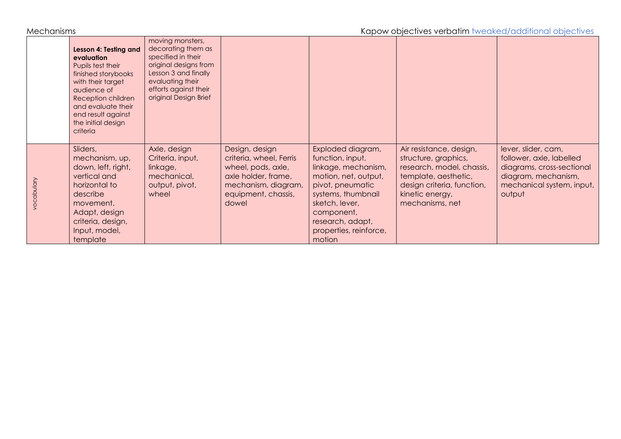Mechanisms Mechanisms Mechanisms According to the Capover of the Capove objectives verbatim tweaked/additional objectives

|            | Lesson 4: Testing and<br>evaluation<br>Pupils test their<br>finished storybooks<br>with their target<br>audience of<br>Reception children<br>and evaluate their<br>end result against<br>the initial design<br>criteria | moving monsters,<br>decorating them as<br>specified in their<br>original designs from<br>Lesson 3 and finally<br>evaluating their<br>efforts against their<br>original Design Brief |                                                                                                                                               |                                                                                                                                                                                                                        |                                                                                                                                                                          |                                                                                                                                            |
|------------|-------------------------------------------------------------------------------------------------------------------------------------------------------------------------------------------------------------------------|-------------------------------------------------------------------------------------------------------------------------------------------------------------------------------------|-----------------------------------------------------------------------------------------------------------------------------------------------|------------------------------------------------------------------------------------------------------------------------------------------------------------------------------------------------------------------------|--------------------------------------------------------------------------------------------------------------------------------------------------------------------------|--------------------------------------------------------------------------------------------------------------------------------------------|
| vocabulary | Sliders,<br>mechanism, up,<br>down, left, right,<br>vertical and<br>horizontal to<br>describe<br>movement.<br>Adapt, design<br>criteria, design,<br>Input, model,<br>template                                           | Axle, design<br>Criteria, input,<br>linkage,<br>mechanical,<br>output, pivot,<br>wheel                                                                                              | Design, design<br>criteria, wheel, Ferris<br>wheel, pods, axle,<br>axle holder, frame,<br>mechanism, diagram,<br>equipment, chassis,<br>dowel | Exploded diagram,<br>function, input,<br>linkage, mechanism,<br>motion, net, output,<br>pivot, pneumatic<br>systems, thumbnail<br>sketch, lever,<br>component,<br>research, adapt,<br>properties, reinforce,<br>motion | Air resistance, design,<br>structure, graphics,<br>research, model, chassis,<br>template, aesthetic,<br>design criteria, function,<br>kinetic energy,<br>mechanisms, net | lever, slider, cam,<br>follower, axle, labelled<br>diagrams, cross-sectional<br>diagram, mechanism,<br>mechanical system, input,<br>output |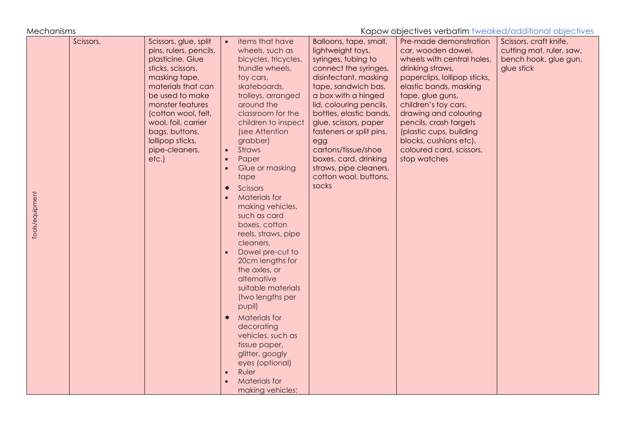Mechanisms **Mechanisms** Mechanisms **Kapow objectives verbatim** tweaked/additional objectives

| Tools/equipment | Scissors, | Scissors, glue, split<br>pins, rulers, pencils,<br>plasticine, Glue<br>sticks, scissors,<br>masking tape,<br>materials that can<br>be used to make<br>monster features<br>(cotton wool, felt,<br>wool, foil, carrier<br>bags, buttons,<br>Iollipop sticks,<br>pipe-cleaners,<br>etc.) | $\bullet$<br>$\bullet$<br>$\bullet$<br>$\bullet$<br>$\bullet$ | items that have<br>wheels, such as<br>bicycles, tricycles,<br>trundle wheels,<br>toy cars,<br>skateboards,<br>trolleys, arranged<br>around the<br>classroom for the<br>children to inspect<br>(see Attention<br>grabber)<br>Straws<br>Paper<br>Glue or masking<br>tape<br>Scissors<br><b>Materials for</b><br>making vehicles,<br>such as card<br>boxes, cotton<br>reels, straws, pipe<br>cleaners,<br>Dowel pre-cut to<br>20cm lengths for<br>the axles, or<br>alternative<br>suitable materials<br>(two lengths per<br>pupil)<br><b>Materials for</b><br>decorating<br>vehicles, such as<br>tissue paper, | Balloons, tape, small,<br>lightweight toys,<br>syringes, tubing to<br>connect the syringes,<br>disinfectant, masking<br>tape, sandwich bas,<br>a box with a hinged<br>lid, colouring pencils,<br>bottles, elastic bands,<br>glue, scissors, paper<br>fasteners or split pins,<br>egg<br>cartons/tissue/shoe<br>boxes, card, drinking<br>straws, pipe cleaners,<br>cotton wool, buttons,<br>socks | Pre-made demonstration<br>car, wooden dowel,<br>wheels with central holes,<br>drinking straws,<br>paperclips, lollipop sticks,<br>elastic bands, masking<br>tape, glue guns,<br>children's toy cars,<br>drawing and colouring<br>pencils, crash targets<br>(plastic cups, building<br>blocks, cushions etc),<br>coloured card, scissors,<br>stop watches | Scissors, craft knife,<br>cutting mat, ruler, saw,<br>bench hook, glue gun,<br>glue stick |
|-----------------|-----------|---------------------------------------------------------------------------------------------------------------------------------------------------------------------------------------------------------------------------------------------------------------------------------------|---------------------------------------------------------------|-------------------------------------------------------------------------------------------------------------------------------------------------------------------------------------------------------------------------------------------------------------------------------------------------------------------------------------------------------------------------------------------------------------------------------------------------------------------------------------------------------------------------------------------------------------------------------------------------------------|--------------------------------------------------------------------------------------------------------------------------------------------------------------------------------------------------------------------------------------------------------------------------------------------------------------------------------------------------------------------------------------------------|----------------------------------------------------------------------------------------------------------------------------------------------------------------------------------------------------------------------------------------------------------------------------------------------------------------------------------------------------------|-------------------------------------------------------------------------------------------|
|                 |           |                                                                                                                                                                                                                                                                                       | $\bullet$                                                     | glitter, googly<br>eyes (optional)<br>Ruler<br><b>Materials for</b><br>making vehicles:                                                                                                                                                                                                                                                                                                                                                                                                                                                                                                                     |                                                                                                                                                                                                                                                                                                                                                                                                  |                                                                                                                                                                                                                                                                                                                                                          |                                                                                           |